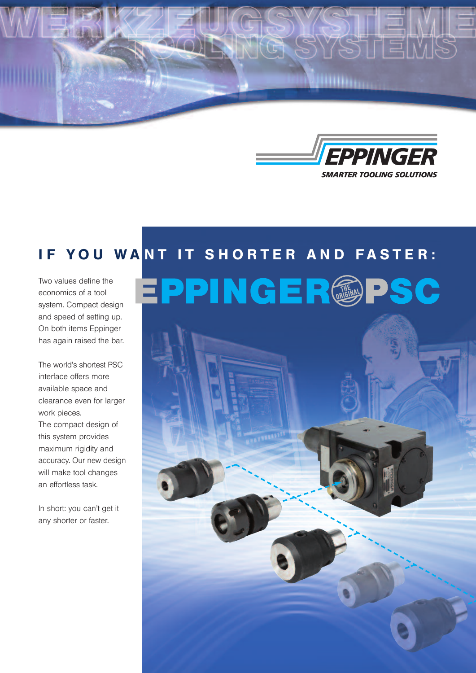



## IF YOU WANT IT SHORTER AND FASTER:

Two values define the economics of a tool system. Compact design and speed of setting up. On both items Eppinger has again raised the bar.

The world's shortest PSC interface offers more available space and clearance even for larger work pieces. The compact design of this system provides maximum rigidity and accuracy. Our new design will make tool changes an effortless task.

In short: you can't get it any shorter or faster.

# EPPINGER@